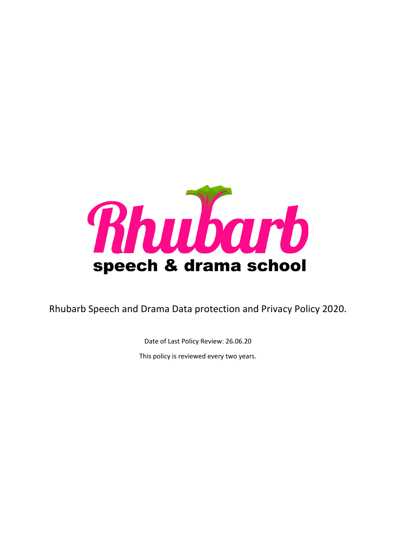

Rhubarb Speech and Drama Data protection and Privacy Policy 2020.

Date of Last Policy Review: 26.06.20

This policy is reviewed every two years.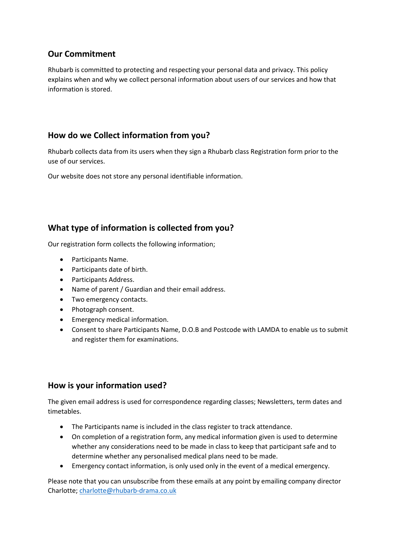## **Our Commitment**

Rhubarb is committed to protecting and respecting your personal data and privacy. This policy explains when and why we collect personal information about users of our services and how that information is stored.

## **How do we Collect information from you?**

Rhubarb collects data from its users when they sign a Rhubarb class Registration form prior to the use of our services.

Our website does not store any personal identifiable information.

# **What type of information is collected from you?**

Our registration form collects the following information;

- Participants Name.
- Participants date of birth.
- Participants Address.
- Name of parent / Guardian and their email address.
- Two emergency contacts.
- Photograph consent.
- Emergency medical information.
- Consent to share Participants Name, D.O.B and Postcode with LAMDA to enable us to submit and register them for examinations.

#### **How is your information used?**

The given email address is used for correspondence regarding classes; Newsletters, term dates and timetables.

- The Participants name is included in the class register to track attendance.
- On completion of a registration form, any medical information given is used to determine whether any considerations need to be made in class to keep that participant safe and to determine whether any personalised medical plans need to be made.
- Emergency contact information, is only used only in the event of a medical emergency.

Please note that you can unsubscribe from these emails at any point by emailing company director Charlotte; [charlotte@rhubarb-drama.co.uk](mailto:charlotte@rhubarb-drama.co.uk)